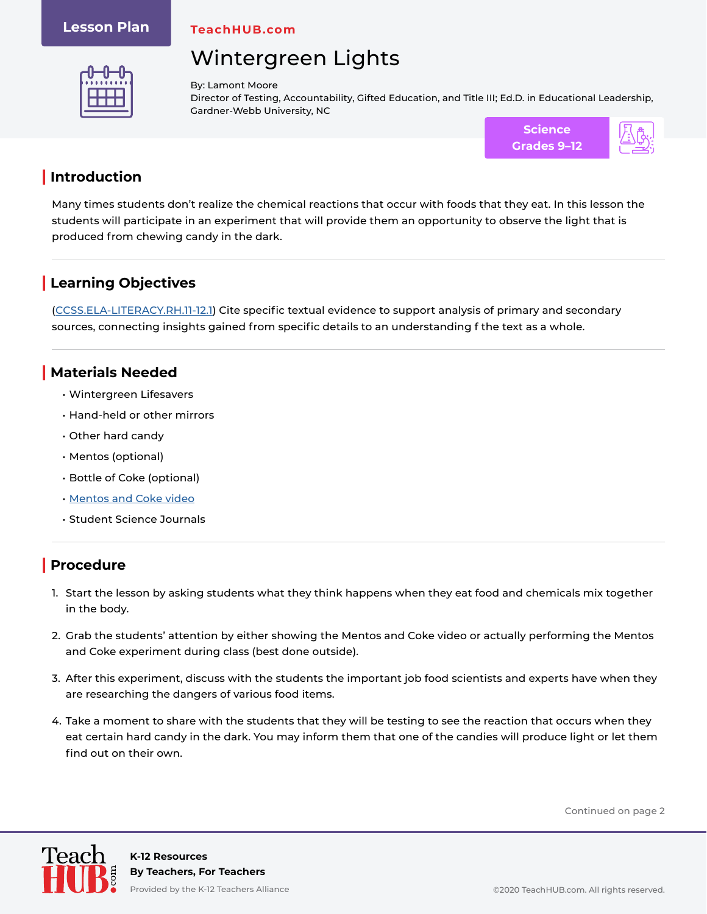#### **Lesson Plan**

**TeachHUB.com**

# Wintergreen Lights



By: Lamont Moore Director of Testing, Accountability, Gifted Education, and Title III; Ed.D. in Educational Leadership, Gardner-Webb University, NC



### **| Introduction**

Many times students don't realize the chemical reactions that occur with foods that they eat. In this lesson the students will participate in an experiment that will provide them an opportunity to observe the light that is produced from chewing candy in the dark.

## **| Learning Objectives**

[\(CCSS.ELA-LITERACY.RH.11-12.1](http://www.corestandards.org/ELA-Literacy/RH/11-12/1/)) Cite specific textual evidence to support analysis of primary and secondary sources, connecting insights gained from specific details to an understanding f the text as a whole.

### **| Materials Needed**

- Wintergreen Lifesavers
- Hand-held or other mirrors
- Other hard candy
- Mentos (optional)
- Bottle of Coke (optional)
- [Mentos and Coke video](https://www.youtube.com/watch?v=ZwyMcV9emmc)
- Student Science Journals

## **| Procedure**

- 1. Start the lesson by asking students what they think happens when they eat food and chemicals mix together in the body.
- 2. Grab the students' attention by either showing the Mentos and Coke video or actually performing the Mentos and Coke experiment during class (best done outside).
- 3. After this experiment, discuss with the students the important job food scientists and experts have when they are researching the dangers of various food items.
- 4. Take a moment to share with the students that they will be testing to see the reaction that occurs when they eat certain hard candy in the dark. You may inform them that one of the candies will produce light or let them find out on their own.

Continued on page 2